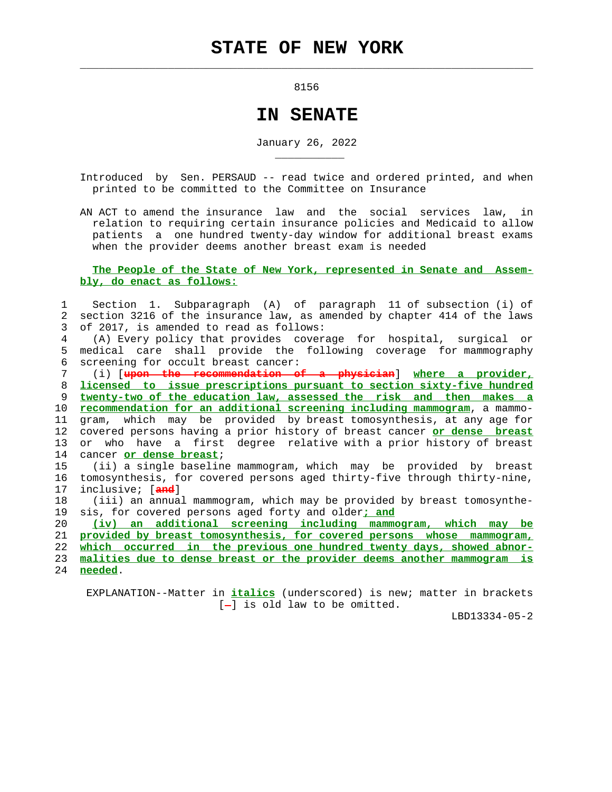8156

 $\mathcal{L}_\text{max} = \frac{1}{2} \sum_{i=1}^{n} \frac{1}{2} \sum_{i=1}^{n} \frac{1}{2} \sum_{i=1}^{n} \frac{1}{2} \sum_{i=1}^{n} \frac{1}{2} \sum_{i=1}^{n} \frac{1}{2} \sum_{i=1}^{n} \frac{1}{2} \sum_{i=1}^{n} \frac{1}{2} \sum_{i=1}^{n} \frac{1}{2} \sum_{i=1}^{n} \frac{1}{2} \sum_{i=1}^{n} \frac{1}{2} \sum_{i=1}^{n} \frac{1}{2} \sum_{i=1}^{n} \frac{1$ 

\_\_\_\_\_\_\_\_\_\_\_

## **IN SENATE**

January 26, 2022

- Introduced by Sen. PERSAUD -- read twice and ordered printed, and when printed to be committed to the Committee on Insurance
- AN ACT to amend the insurance law and the social services law, in relation to requiring certain insurance policies and Medicaid to allow patients a one hundred twenty-day window for additional breast exams when the provider deems another breast exam is needed

## **The People of the State of New York, represented in Senate and Assem bly, do enact as follows:**

 1 Section 1. Subparagraph (A) of paragraph 11 of subsection (i) of 2 section 3216 of the insurance law, as amended by chapter 414 of the laws 3 of 2017, is amended to read as follows:

 4 (A) Every policy that provides coverage for hospital, surgical or 5 medical care shall provide the following coverage for mammography 6 screening for occult breast cancer:

 7 (i) [**upon the recommendation of a physician**] **where a provider,** 8 **licensed to issue prescriptions pursuant to section sixty-five hundred** 9 **twenty-two of the education law, assessed the risk and then makes a** 10 **recommendation for an additional screening including mammogram**, a mammo- 11 gram, which may be provided by breast tomosynthesis, at any age for 12 covered persons having a prior history of breast cancer **or dense breast** 13 or who have a first degree relative with a prior history of breast 14 cancer **or dense breast**;

 15 (ii) a single baseline mammogram, which may be provided by breast 16 tomosynthesis, for covered persons aged thirty-five through thirty-nine, 17 inclusive; [**and**]

 18 (iii) an annual mammogram, which may be provided by breast tomosynthe- 19 sis, for covered persons aged forty and older**; and**

20 **(iv) an additional screening including mammogram, which may be**

21 **provided by breast tomosynthesis, for covered persons whose mammogram,**

22 **which occurred in the previous one hundred twenty days, showed abnor-**

 23 **malities due to dense breast or the provider deems another mammogram is** 24 **needed**.

 EXPLANATION--Matter in **italics** (underscored) is new; matter in brackets  $[-]$  is old law to be omitted.

LBD13334-05-2